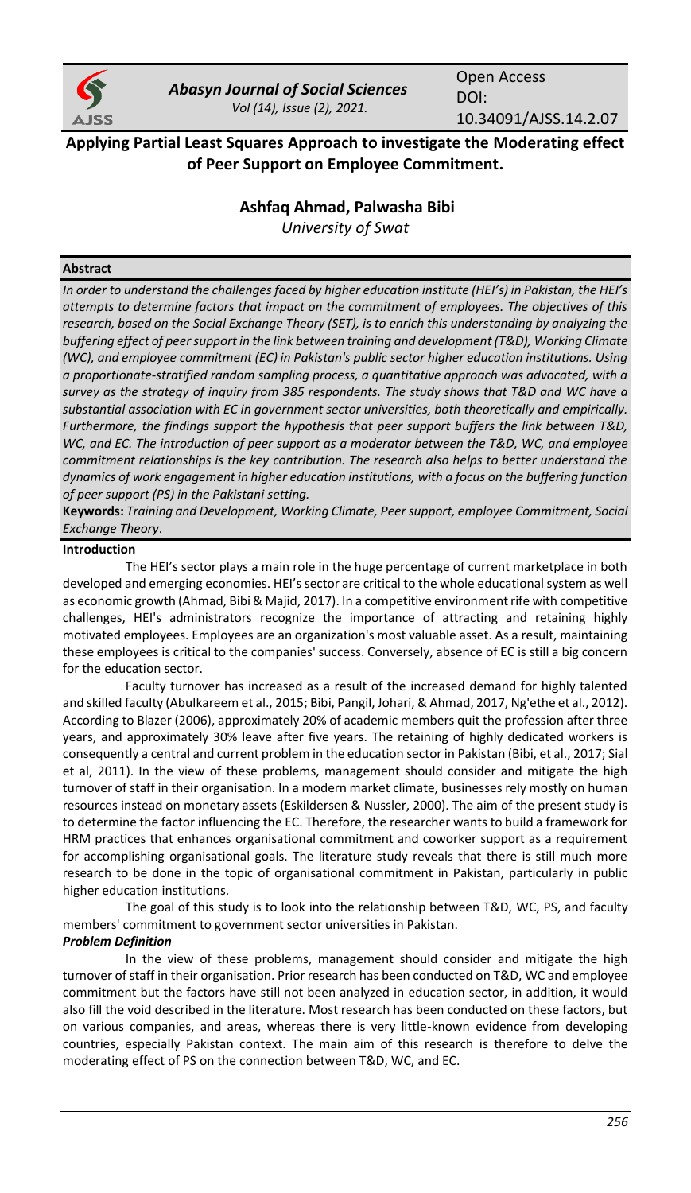

*Abasyn Journal of Social Sciences Vol (14), Issue (2), 2021.*

Open Access DOI: 10.34091/AJSS.14.2.07

**Applying Partial Least Squares Approach to investigate the Moderating effect of Peer Support on Employee Commitment.**

# **Ashfaq Ahmad, Palwasha Bibi**

*University of Swat*

# **Abstract**

*In order to understand the challenges faced by higher education institute (HEI's) in Pakistan, the HEI's attempts to determine factors that impact on the commitment of employees. The objectives of this research, based on the Social Exchange Theory (SET), is to enrich this understanding by analyzing the buffering effect of peersupport in the link between training and development (T&D), Working Climate (WC), and employee commitment (EC) in Pakistan's public sector higher education institutions. Using a proportionate-stratified random sampling process, a quantitative approach was advocated, with a survey as the strategy of inquiry from 385 respondents. The study shows that T&D and WC have a substantial association with EC in government sector universities, both theoretically and empirically. Furthermore, the findings support the hypothesis that peer support buffers the link between T&D, WC, and EC. The introduction of peer support as a moderator between the T&D, WC, and employee commitment relationships is the key contribution. The research also helps to better understand the dynamics of work engagement in higher education institutions, with a focus on the buffering function of peer support (PS) in the Pakistani setting.*

**Keywords:** *Training and Development, Working Climate, Peer support, employee Commitment, Social Exchange Theory*.

### **Introduction**

The HEI's sector plays a main role in the huge percentage of current marketplace in both developed and emerging economies. HEI's sector are critical to the whole educational system as well as economic growth (Ahmad, Bibi & Majid, 2017). In a competitive environment rife with competitive challenges, HEI's administrators recognize the importance of attracting and retaining highly motivated employees. Employees are an organization's most valuable asset. As a result, maintaining these employees is critical to the companies' success. Conversely, absence of EC is still a big concern for the education sector.

Faculty turnover has increased as a result of the increased demand for highly talented and skilled faculty (Abulkareem et al., 2015; Bibi, Pangil, Johari, & Ahmad, 2017, Ng'ethe et al., 2012). According to Blazer (2006), approximately 20% of academic members quit the profession after three years, and approximately 30% leave after five years. The retaining of highly dedicated workers is consequently a central and current problem in the education sector in Pakistan (Bibi, et al., 2017; Sial et al, 2011). In the view of these problems, management should consider and mitigate the high turnover of staff in their organisation. In a modern market climate, businesses rely mostly on human resources instead on monetary assets (Eskildersen & Nussler, 2000). The aim of the present study is to determine the factor influencing the EC. Therefore, the researcher wants to build a framework for HRM practices that enhances organisational commitment and coworker support as a requirement for accomplishing organisational goals. The literature study reveals that there is still much more research to be done in the topic of organisational commitment in Pakistan, particularly in public higher education institutions.

The goal of this study is to look into the relationship between T&D, WC, PS, and faculty members' commitment to government sector universities in Pakistan.

### *Problem Definition*

In the view of these problems, management should consider and mitigate the high turnover of staff in their organisation. Prior research has been conducted on T&D, WC and employee commitment but the factors have still not been analyzed in education sector, in addition, it would also fill the void described in the literature. Most research has been conducted on these factors, but on various companies, and areas, whereas there is very little-known evidence from developing countries, especially Pakistan context. The main aim of this research is therefore to delve the moderating effect of PS on the connection between T&D, WC, and EC.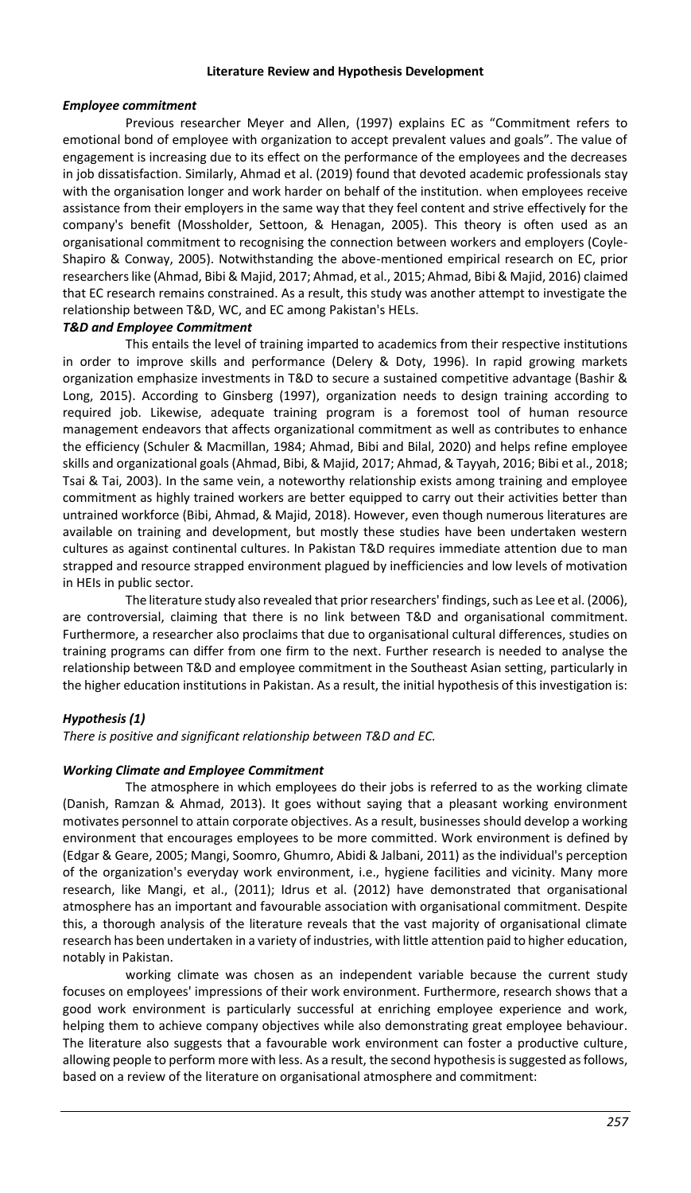#### **Literature Review and Hypothesis Development**

#### *Employee commitment*

Previous researcher Meyer and Allen, (1997) explains EC as "Commitment refers to emotional bond of employee with organization to accept prevalent values and goals". The value of engagement is increasing due to its effect on the performance of the employees and the decreases in job dissatisfaction. Similarly, Ahmad et al. (2019) found that devoted academic professionals stay with the organisation longer and work harder on behalf of the institution. when employees receive assistance from their employers in the same way that they feel content and strive effectively for the company's benefit (Mossholder, Settoon, & Henagan, 2005). This theory is often used as an organisational commitment to recognising the connection between workers and employers (Coyle-Shapiro & Conway, 2005). Notwithstanding the above-mentioned empirical research on EC, prior researchers like (Ahmad, Bibi & Majid, 2017; Ahmad, et al., 2015; Ahmad, Bibi & Majid, 2016) claimed that EC research remains constrained. As a result, this study was another attempt to investigate the relationship between T&D, WC, and EC among Pakistan's HELs.

# *T&D and Employee Commitment*

This entails the level of training imparted to academics from their respective institutions in order to improve skills and performance (Delery & Doty, 1996). In rapid growing markets organization emphasize investments in T&D to secure a sustained competitive advantage (Bashir & Long, 2015). According to Ginsberg (1997), organization needs to design training according to required job. Likewise, adequate training program is a foremost tool of human resource management endeavors that affects organizational commitment as well as contributes to enhance the efficiency (Schuler & Macmillan, 1984; Ahmad, Bibi and Bilal, 2020) and helps refine employee skills and organizational goals (Ahmad, Bibi, & Majid, 2017; Ahmad, & Tayyah, 2016; Bibi et al., 2018; Tsai & Tai, 2003). In the same vein, a noteworthy relationship exists among training and employee commitment as highly trained workers are better equipped to carry out their activities better than untrained workforce (Bibi, Ahmad, & Majid, 2018). However, even though numerous literatures are available on training and development, but mostly these studies have been undertaken western cultures as against continental cultures. In Pakistan T&D requires immediate attention due to man strapped and resource strapped environment plagued by inefficiencies and low levels of motivation in HEIs in public sector.

The literature study also revealed that prior researchers' findings, such as Lee et al. (2006), are controversial, claiming that there is no link between T&D and organisational commitment. Furthermore, a researcher also proclaims that due to organisational cultural differences, studies on training programs can differ from one firm to the next. Further research is needed to analyse the relationship between T&D and employee commitment in the Southeast Asian setting, particularly in the higher education institutions in Pakistan. As a result, the initial hypothesis of this investigation is:

### *Hypothesis (1)*

*There is positive and significant relationship between T&D and EC.*

#### *Working Climate and Employee Commitment*

The atmosphere in which employees do their jobs is referred to as the working climate (Danish, Ramzan & Ahmad, 2013). It goes without saying that a pleasant working environment motivates personnel to attain corporate objectives. As a result, businesses should develop a working environment that encourages employees to be more committed. Work environment is defined by (Edgar & Geare, 2005; Mangi, Soomro, Ghumro, Abidi & Jalbani, 2011) as the individual's perception of the organization's everyday work environment, i.e., hygiene facilities and vicinity. Many more research, like Mangi, et al., (2011); Idrus et al. (2012) have demonstrated that organisational atmosphere has an important and favourable association with organisational commitment. Despite this, a thorough analysis of the literature reveals that the vast majority of organisational climate research has been undertaken in a variety of industries, with little attention paid to higher education, notably in Pakistan.

working climate was chosen as an independent variable because the current study focuses on employees' impressions of their work environment. Furthermore, research shows that a good work environment is particularly successful at enriching employee experience and work, helping them to achieve company objectives while also demonstrating great employee behaviour. The literature also suggests that a favourable work environment can foster a productive culture, allowing people to perform more with less. As a result, the second hypothesis is suggested as follows, based on a review of the literature on organisational atmosphere and commitment: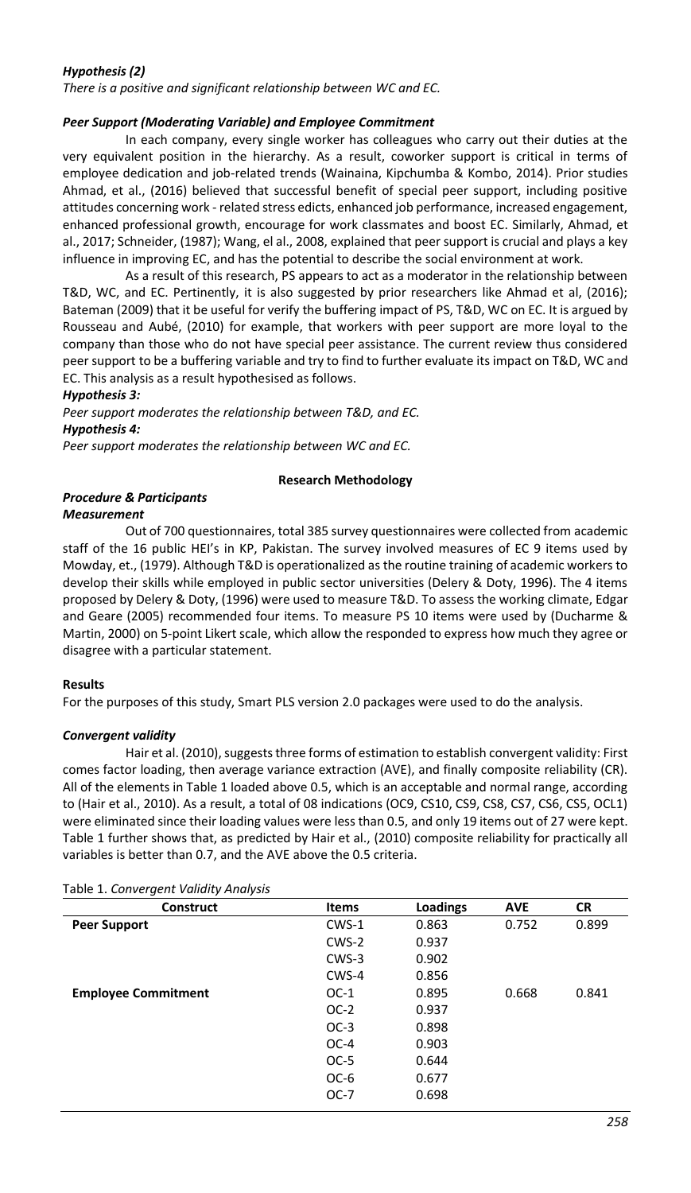# *Hypothesis (2)*

*There is a positive and significant relationship between WC and EC.*

### *Peer Support (Moderating Variable) and Employee Commitment*

In each company, every single worker has colleagues who carry out their duties at the very equivalent position in the hierarchy. As a result, coworker support is critical in terms of employee dedication and job-related trends (Wainaina, Kipchumba & Kombo, 2014). Prior studies Ahmad, et al., (2016) believed that successful benefit of special peer support, including positive attitudes concerning work - related stress edicts, enhanced job performance, increased engagement, enhanced professional growth, encourage for work classmates and boost EC. Similarly, Ahmad, et al., 2017; Schneider, (1987); Wang, el al., 2008, explained that peer support is crucial and plays a key influence in improving EC, and has the potential to describe the social environment at work.

As a result of this research, PS appears to act as a moderator in the relationship between T&D, WC, and EC. Pertinently, it is also suggested by prior researchers like Ahmad et al, (2016); Bateman (2009) that it be useful for verify the buffering impact of PS, T&D, WC on EC. It is argued by Rousseau and Aubé, (2010) for example, that workers with peer support are more loyal to the company than those who do not have special peer assistance. The current review thus considered peer support to be a buffering variable and try to find to further evaluate its impact on T&D, WC and EC. This analysis as a result hypothesised as follows.

*Hypothesis 3:*

*Peer support moderates the relationship between T&D, and EC. Hypothesis 4:* 

*Peer support moderates the relationship between WC and EC.*

#### **Research Methodology**

# *Procedure & Participants*

#### *Measurement*

Out of 700 questionnaires, total 385 survey questionnaires were collected from academic staff of the 16 public HEI's in KP, Pakistan. The survey involved measures of EC 9 items used by Mowday, et., (1979). Although T&D is operationalized as the routine training of academic workers to develop their skills while employed in public sector universities (Delery & Doty, 1996). The 4 items proposed by Delery & Doty, (1996) were used to measure T&D. To assess the working climate, Edgar and Geare (2005) recommended four items. To measure PS 10 items were used by (Ducharme & Martin, 2000) on 5-point Likert scale, which allow the responded to express how much they agree or disagree with a particular statement.

### **Results**

For the purposes of this study, Smart PLS version 2.0 packages were used to do the analysis.

### *Convergent validity*

Hair et al. (2010), suggests three forms of estimation to establish convergent validity: First comes factor loading, then average variance extraction (AVE), and finally composite reliability (CR). All of the elements in Table 1 loaded above 0.5, which is an acceptable and normal range, according to (Hair et al., 2010). As a result, a total of 08 indications (OC9, CS10, CS9, CS8, CS7, CS6, CS5, OCL1) were eliminated since their loading values were less than 0.5, and only 19 items out of 27 were kept. Table 1 further shows that, as predicted by Hair et al., (2010) composite reliability for practically all variables is better than 0.7, and the AVE above the 0.5 criteria.

| Construct                  | <b>Items</b> | Loadings | <b>AVE</b> | <b>CR</b> |
|----------------------------|--------------|----------|------------|-----------|
| <b>Peer Support</b>        | $CWS-1$      | 0.863    | 0.752      | 0.899     |
|                            | CWS-2        | 0.937    |            |           |
|                            | $CWS-3$      | 0.902    |            |           |
|                            | CWS-4        | 0.856    |            |           |
| <b>Employee Commitment</b> | $OC-1$       | 0.895    | 0.668      | 0.841     |
|                            | $OC-2$       | 0.937    |            |           |
|                            | $OC-3$       | 0.898    |            |           |
|                            | $OC-4$       | 0.903    |            |           |
|                            | $OC-5$       | 0.644    |            |           |
|                            | $OC-6$       | 0.677    |            |           |
|                            | $OC-7$       | 0.698    |            |           |
|                            |              |          |            |           |

Table 1. *Convergent Validity Analysis*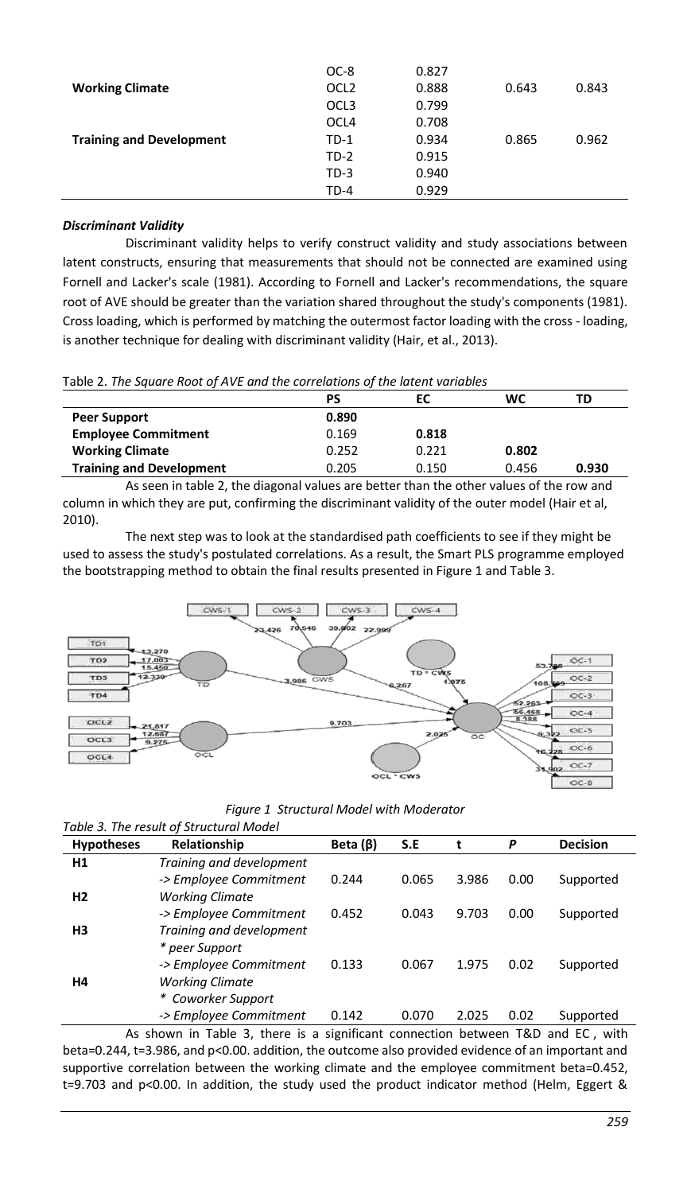|                                 | TD-4             | 0.929 |       |       |
|---------------------------------|------------------|-------|-------|-------|
|                                 | $TD-3$           | 0.940 |       |       |
|                                 | $TD-2$           | 0.915 |       |       |
| <b>Training and Development</b> | $TD-1$           | 0.934 | 0.865 | 0.962 |
|                                 | OCL4             | 0.708 |       |       |
|                                 | OCL <sub>3</sub> | 0.799 |       |       |
| <b>Working Climate</b>          | OCL <sub>2</sub> | 0.888 | 0.643 | 0.843 |
|                                 | OC-8             | 0.827 |       |       |

# *Discriminant Validity*

Discriminant validity helps to verify construct validity and study associations between latent constructs, ensuring that measurements that should not be connected are examined using Fornell and Lacker's scale (1981). According to Fornell and Lacker's recommendations, the square root of AVE should be greater than the variation shared throughout the study's components (1981). Cross loading, which is performed by matching the outermost factor loading with the cross - loading, is another technique for dealing with discriminant validity (Hair, et al., 2013).

Table 2. *The Square Root of AVE and the correlations of the latent variables*

|                                 | PS    | EC    | wc    | TD    |
|---------------------------------|-------|-------|-------|-------|
| <b>Peer Support</b>             | 0.890 |       |       |       |
| <b>Employee Commitment</b>      | 0.169 | 0.818 |       |       |
| <b>Working Climate</b>          | 0.252 | 0.221 | 0.802 |       |
| <b>Training and Development</b> | 0.205 | 0.150 | 0.456 | 0.930 |

As seen in table 2, the diagonal values are better than the other values of the row and column in which they are put, confirming the discriminant validity of the outer model (Hair et al, 2010).

The next step was to look at the standardised path coefficients to see if they might be used to assess the study's postulated correlations. As a result, the Smart PLS programme employed the bootstrapping method to obtain the final results presented in Figure 1 and Table 3.



| Figure 1 Structural Model with Moderator |  |  |
|------------------------------------------|--|--|
|                                          |  |  |

| Table 3. The result of Structural Model |                          |                |       |       |      |                 |
|-----------------------------------------|--------------------------|----------------|-------|-------|------|-----------------|
| Hypotheses                              | Relationship             | Beta $(\beta)$ | S.E   | t     | P    | <b>Decision</b> |
| H <sub>1</sub>                          | Training and development |                |       |       |      |                 |
|                                         | -> Employee Commitment   | 0.244          | 0.065 | 3.986 | 0.00 | Supported       |
| H <sub>2</sub>                          | <b>Working Climate</b>   |                |       |       |      |                 |
|                                         | -> Employee Commitment   | 0.452          | 0.043 | 9.703 | 0.00 | Supported       |
| H3                                      | Training and development |                |       |       |      |                 |
|                                         | * peer Support           |                |       |       |      |                 |
|                                         | -> Employee Commitment   | 0.133          | 0.067 | 1.975 | 0.02 | Supported       |
| Н4                                      | <b>Working Climate</b>   |                |       |       |      |                 |
|                                         | * Coworker Support       |                |       |       |      |                 |
|                                         | -> Employee Commitment   | 0.142          | 0.070 | 2.025 | 0.02 | Supported       |

As shown in Table 3, there is a significant connection between T&D and EC, with beta=0.244, t=3.986, and p<0.00. addition, the outcome also provided evidence of an important and supportive correlation between the working climate and the employee commitment beta=0.452, t=9.703 and p<0.00. In addition, the study used the product indicator method (Helm, Eggert &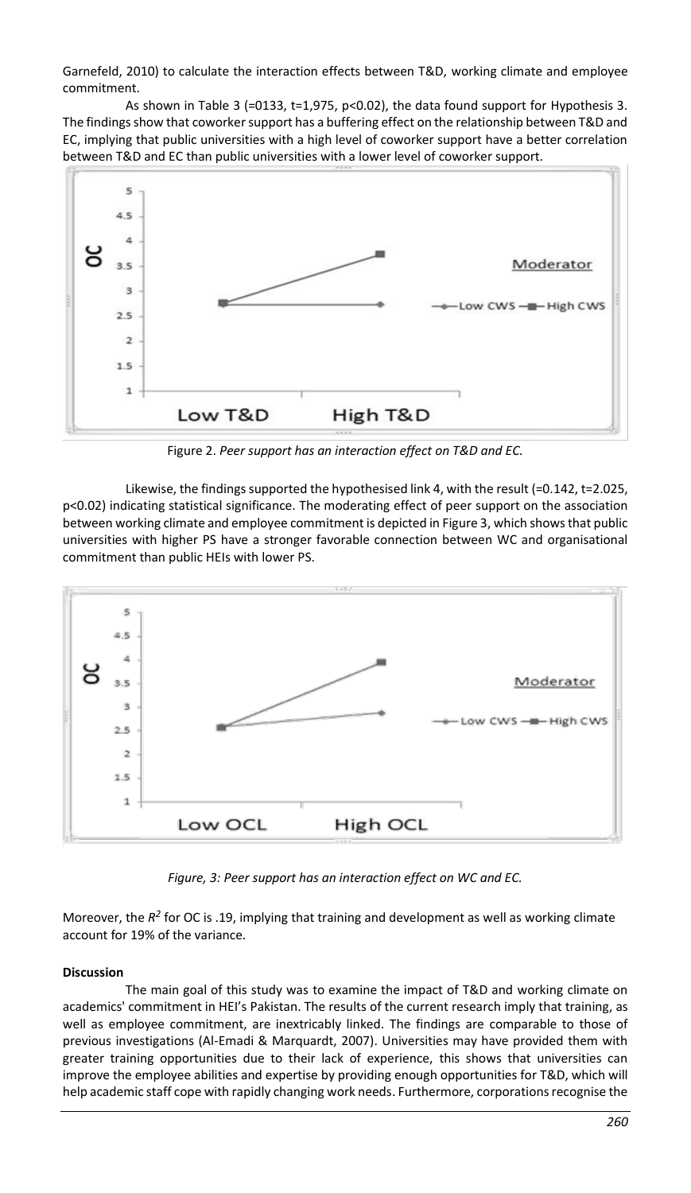Garnefeld, 2010) to calculate the interaction effects between T&D, working climate and employee commitment.

As shown in Table 3 (=0133, t=1,975, p<0.02), the data found support for Hypothesis 3. The findings show that coworker support has a buffering effect on the relationship between T&D and EC, implying that public universities with a high level of coworker support have a better correlation between T&D and EC than public universities with a lower level of coworker support.



Figure 2. *Peer support has an interaction effect on T&D and EC.*

Likewise, the findings supported the hypothesised link 4, with the result (=0.142, t=2.025, p<0.02) indicating statistical significance. The moderating effect of peer support on the association between working climate and employee commitment is depicted in Figure 3, which shows that public universities with higher PS have a stronger favorable connection between WC and organisational commitment than public HEIs with lower PS.



*Figure, 3: Peer support has an interaction effect on WC and EC.*

Moreover, the  $R^2$  for OC is .19, implying that training and development as well as working climate account for 19% of the variance.

# **Discussion**

The main goal of this study was to examine the impact of T&D and working climate on academics' commitment in HEI's Pakistan. The results of the current research imply that training, as well as employee commitment, are inextricably linked. The findings are comparable to those of previous investigations (Al-Emadi & Marquardt, 2007). Universities may have provided them with greater training opportunities due to their lack of experience, this shows that universities can improve the employee abilities and expertise by providing enough opportunities for T&D, which will help academic staff cope with rapidly changing work needs. Furthermore, corporations recognise the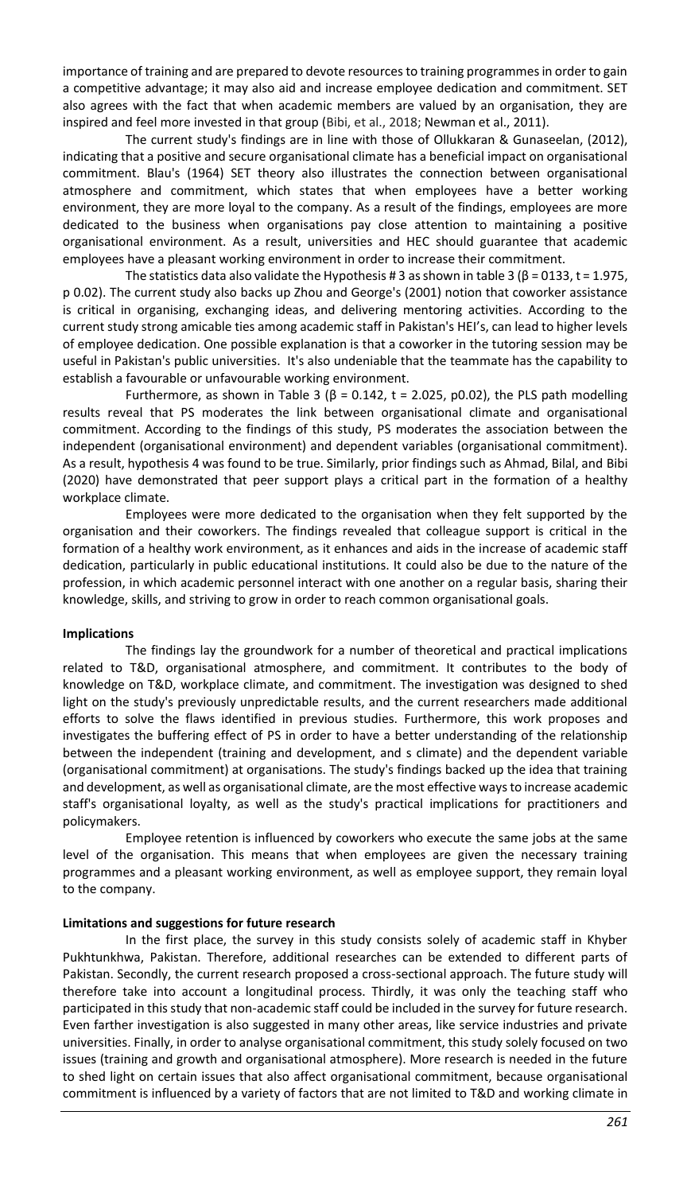importance of training and are prepared to devote resources to training programmes in order to gain a competitive advantage; it may also aid and increase employee dedication and commitment. SET also agrees with the fact that when academic members are valued by an organisation, they are inspired and feel more invested in that group (Bibi, et al., 2018; Newman et al., 2011).

The current study's findings are in line with those of Ollukkaran & Gunaseelan, (2012), indicating that a positive and secure organisational climate has a beneficial impact on organisational commitment. Blau's (1964) SET theory also illustrates the connection between organisational atmosphere and commitment, which states that when employees have a better working environment, they are more loyal to the company. As a result of the findings, employees are more dedicated to the business when organisations pay close attention to maintaining a positive organisational environment. As a result, universities and HEC should guarantee that academic employees have a pleasant working environment in order to increase their commitment.

The statistics data also validate the Hypothesis # 3 as shown in table 3 ( $\beta$  = 0133, t = 1.975, p 0.02). The current study also backs up Zhou and George's (2001) notion that coworker assistance is critical in organising, exchanging ideas, and delivering mentoring activities. According to the current study strong amicable ties among academic staff in Pakistan's HEI's, can lead to higher levels of employee dedication. One possible explanation is that a coworker in the tutoring session may be useful in Pakistan's public universities. It's also undeniable that the teammate has the capability to establish a favourable or unfavourable working environment.

Furthermore, as shown in Table 3 ( $β = 0.142$ , t = 2.025, p0.02), the PLS path modelling results reveal that PS moderates the link between organisational climate and organisational commitment. According to the findings of this study, PS moderates the association between the independent (organisational environment) and dependent variables (organisational commitment). As a result, hypothesis 4 was found to be true. Similarly, prior findings such as Ahmad, Bilal, and Bibi (2020) have demonstrated that peer support plays a critical part in the formation of a healthy workplace climate.

Employees were more dedicated to the organisation when they felt supported by the organisation and their coworkers. The findings revealed that colleague support is critical in the formation of a healthy work environment, as it enhances and aids in the increase of academic staff dedication, particularly in public educational institutions. It could also be due to the nature of the profession, in which academic personnel interact with one another on a regular basis, sharing their knowledge, skills, and striving to grow in order to reach common organisational goals.

### **Implications**

The findings lay the groundwork for a number of theoretical and practical implications related to T&D, organisational atmosphere, and commitment. It contributes to the body of knowledge on T&D, workplace climate, and commitment. The investigation was designed to shed light on the study's previously unpredictable results, and the current researchers made additional efforts to solve the flaws identified in previous studies. Furthermore, this work proposes and investigates the buffering effect of PS in order to have a better understanding of the relationship between the independent (training and development, and s climate) and the dependent variable (organisational commitment) at organisations. The study's findings backed up the idea that training and development, as well as organisational climate, are the most effective ways to increase academic staff's organisational loyalty, as well as the study's practical implications for practitioners and policymakers.

Employee retention is influenced by coworkers who execute the same jobs at the same level of the organisation. This means that when employees are given the necessary training programmes and a pleasant working environment, as well as employee support, they remain loyal to the company.

### **Limitations and suggestions for future research**

In the first place, the survey in this study consists solely of academic staff in Khyber Pukhtunkhwa, Pakistan. Therefore, additional researches can be extended to different parts of Pakistan. Secondly, the current research proposed a cross-sectional approach. The future study will therefore take into account a longitudinal process. Thirdly, it was only the teaching staff who participated in this study that non-academic staff could be included in the survey for future research. Even farther investigation is also suggested in many other areas, like service industries and private universities. Finally, in order to analyse organisational commitment, this study solely focused on two issues (training and growth and organisational atmosphere). More research is needed in the future to shed light on certain issues that also affect organisational commitment, because organisational commitment is influenced by a variety of factors that are not limited to T&D and working climate in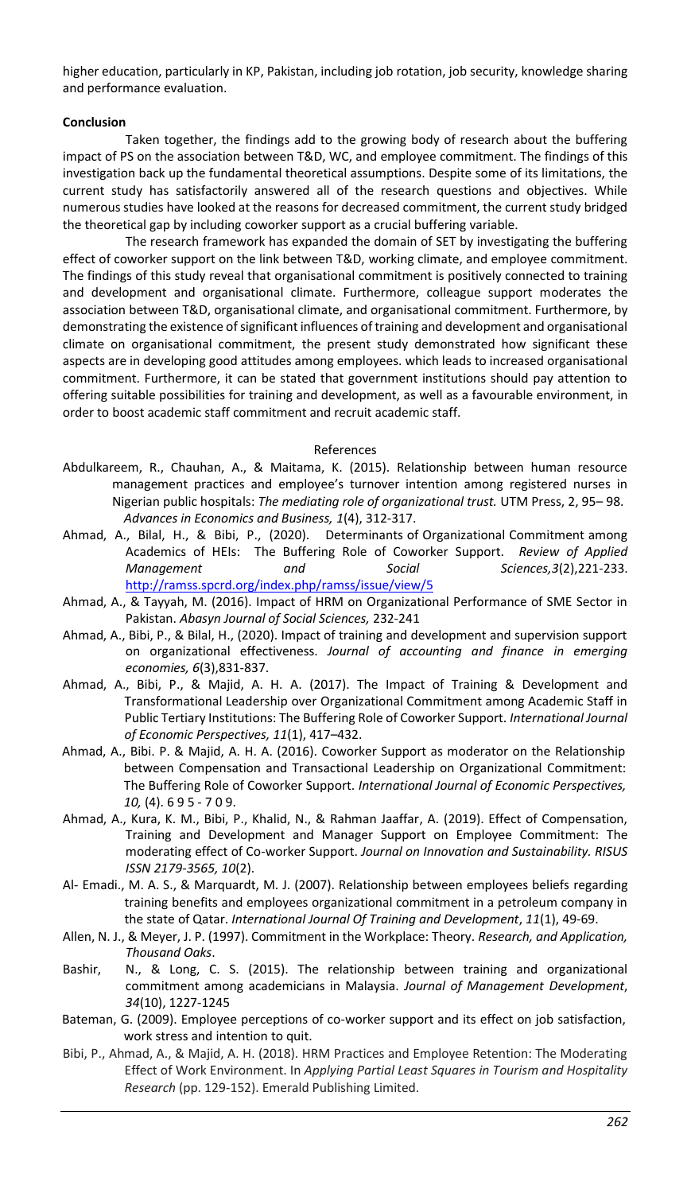higher education, particularly in KP, Pakistan, including job rotation, job security, knowledge sharing and performance evaluation.

### **Conclusion**

Taken together, the findings add to the growing body of research about the buffering impact of PS on the association between T&D, WC, and employee commitment. The findings of this investigation back up the fundamental theoretical assumptions. Despite some of its limitations, the current study has satisfactorily answered all of the research questions and objectives. While numerous studies have looked at the reasons for decreased commitment, the current study bridged the theoretical gap by including coworker support as a crucial buffering variable.

The research framework has expanded the domain of SET by investigating the buffering effect of coworker support on the link between T&D, working climate, and employee commitment. The findings of this study reveal that organisational commitment is positively connected to training and development and organisational climate. Furthermore, colleague support moderates the association between T&D, organisational climate, and organisational commitment. Furthermore, by demonstrating the existence of significant influences of training and development and organisational climate on organisational commitment, the present study demonstrated how significant these aspects are in developing good attitudes among employees. which leads to increased organisational commitment. Furthermore, it can be stated that government institutions should pay attention to offering suitable possibilities for training and development, as well as a favourable environment, in order to boost academic staff commitment and recruit academic staff.

References

- Abdulkareem, R., Chauhan, A., & Maitama, K. (2015). Relationship between human resource management practices and employee's turnover intention among registered nurses in Nigerian public hospitals: *The mediating role of organizational trust.* UTM Press, 2, 95– 98. *Advances in Economics and Business, 1*(4), 312-317.
- Ahmad, A., Bilal, H., & Bibi, P., (2020). Determinants of Organizational Commitment among Academics of HEIs: The Buffering Role of Coworker Support. *Review of Applied Management and Social Sciences,3*(2),221-233. <http://ramss.spcrd.org/index.php/ramss/issue/view/5>
- Ahmad, A., & Tayyah, M. (2016). Impact of HRM on Organizational Performance of SME Sector in Pakistan. *Abasyn Journal of Social Sciences,* 232-241
- Ahmad, A., Bibi, P., & Bilal, H., (2020). Impact of training and development and supervision support on organizational effectiveness. *Journal of accounting and finance in emerging economies, 6*(3),831-837.
- Ahmad, A., Bibi, P., & Majid, A. H. A. (2017). The Impact of Training & Development and Transformational Leadership over Organizational Commitment among Academic Staff in Public Tertiary Institutions: The Buffering Role of Coworker Support. *International Journal of Economic Perspectives, 11*(1), 417–432.
- Ahmad, A., Bibi. P. & Majid, A. H. A. (2016). Coworker Support as moderator on the Relationship between Compensation and Transactional Leadership on Organizational Commitment: The Buffering Role of Coworker Support. *International Journal of Economic Perspectives, 10,* (4). 6 9 5 - 7 0 9.
- Ahmad, A., Kura, K. M., Bibi, P., Khalid, N., & Rahman Jaaffar, A. (2019). Effect of Compensation, Training and Development and Manager Support on Employee Commitment: The moderating effect of Co-worker Support. *Journal on Innovation and Sustainability. RISUS ISSN 2179-3565, 10*(2).
- Al- Emadi., M. A. S., & Marquardt, M. J. (2007). Relationship between employees beliefs regarding training benefits and employees organizational commitment in a petroleum company in the state of Qatar. *International Journal Of Training and Development*, *11*(1), 49-69.
- Allen, N. J., & Meyer, J. P. (1997). Commitment in the Workplace: Theory. *Research, and Application, Thousand Oaks*.
- Bashir, N., & Long, C. S. (2015). The relationship between training and organizational commitment among academicians in Malaysia. *Journal of Management Development*, *34*(10), 1227-1245
- Bateman, G. (2009). Employee perceptions of co-worker support and its effect on job satisfaction, work stress and intention to quit.
- Bibi, P., Ahmad, A., & Majid, A. H. (2018). HRM Practices and Employee Retention: The Moderating Effect of Work Environment. In *Applying Partial Least Squares in Tourism and Hospitality Research* (pp. 129-152). Emerald Publishing Limited.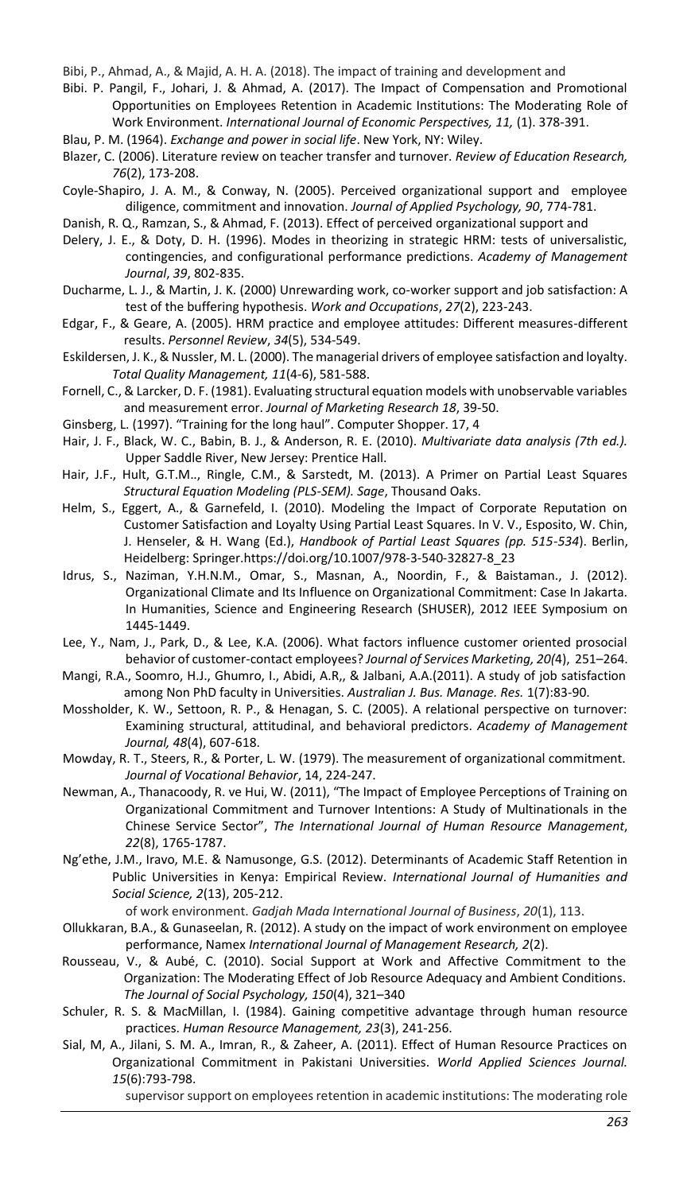Bibi, P., Ahmad, A., & Majid, A. H. A. (2018). The impact of training and development and

Bibi. P. Pangil, F., Johari, J. & Ahmad, A. (2017). The Impact of Compensation and Promotional Opportunities on Employees Retention in Academic Institutions: The Moderating Role of Work Environment. *International Journal of Economic Perspectives, 11,* (1). 378-391.

Blau, P. M. (1964). *Exchange and power in social life*. New York, NY: Wiley.

Blazer, C. (2006). Literature review on teacher transfer and turnover. *Review of Education Research, 76*(2), 173-208.

Coyle-Shapiro, J. A. M., & Conway, N. (2005). Perceived organizational support and employee diligence, commitment and innovation. *Journal of Applied Psychology, 90*, 774-781.

Danish, R. Q., Ramzan, S., & Ahmad, F. (2013). Effect of perceived organizational support and

- Delery, J. E., & Doty, D. H. (1996). Modes in theorizing in strategic HRM: tests of universalistic, contingencies, and configurational performance predictions. *Academy of Management Journal*, *39*, 802-835.
- Ducharme, L. J., & Martin, J. K. (2000) Unrewarding work, co-worker support and job satisfaction: A test of the buffering hypothesis. *Work and Occupations*, *27*(2), 223-243.
- Edgar, F., & Geare, A. (2005). HRM practice and employee attitudes: Different measures-different results. *Personnel Review*, *34*(5), 534-549.
- Eskildersen, J. K., & Nussler, M. L. (2000). The managerial drivers of employee satisfaction and loyalty. *Total Quality Management, 11*(4-6), 581-588.
- Fornell, C., & Larcker, D. F. (1981). Evaluating structural equation models with unobservable variables and measurement error. *Journal of Marketing Research 18*, 39-50.
- Ginsberg, L. (1997). "Training for the long haul". Computer Shopper. 17, 4
- Hair, J. F., Black, W. C., Babin, B. J., & Anderson, R. E. (2010). *Multivariate data analysis (7th ed.).*  Upper Saddle River, New Jersey: Prentice Hall.
- Hair, J.F., Hult, G.T.M.., Ringle, C.M., & Sarstedt, M. (2013). A Primer on Partial Least Squares *Structural Equation Modeling (PLS-SEM). Sage*, Thousand Oaks.
- Helm, S., Eggert, A., & Garnefeld, I. (2010). Modeling the Impact of Corporate Reputation on Customer Satisfaction and Loyalty Using Partial Least Squares. In V. V., Esposito, W. Chin, J. Henseler, & H. Wang (Ed.), *Handbook of Partial Least Squares (pp. 515-534*). Berlin, Heidelberg: Springer.https://doi.org/10.1007/978-3-540-32827-8\_23
- Idrus, S., Naziman, Y.H.N.M., Omar, S., Masnan, A., Noordin, F., & Baistaman., J. (2012). Organizational Climate and Its Influence on Organizational Commitment: Case In Jakarta. In Humanities, Science and Engineering Research (SHUSER), 2012 IEEE Symposium on 1445-1449.
- Lee, Y., Nam, J., Park, D., & Lee, K.A. (2006). What factors influence customer oriented prosocial behavior of customer-contact employees? *Journal of Services Marketing, 20(*4), 251–264.
- Mangi, R.A., Soomro, H.J., Ghumro, I., Abidi, A.R,, & Jalbani, A.A.(2011). A study of job satisfaction among Non PhD faculty in Universities. *Australian J. Bus. Manage. Res.* 1(7):83-90.
- Mossholder, K. W., Settoon, R. P., & Henagan, S. C. (2005). A relational perspective on turnover: Examining structural, attitudinal, and behavioral predictors. *Academy of Management Journal, 48*(4), 607-618.
- Mowday, R. T., Steers, R., & Porter, L. W. (1979). The measurement of organizational commitment. *Journal of Vocational Behavior*, 14, 224-247.
- Newman, A., Thanacoody, R. ve Hui, W. (2011), "The Impact of Employee Perceptions of Training on Organizational Commitment and Turnover Intentions: A Study of Multinationals in the Chinese Service Sector", *The International Journal of Human Resource Management*, *22*(8), 1765-1787.
- Ng'ethe, J.M., Iravo, M.E. & Namusonge, G.S. (2012). Determinants of Academic Staff Retention in Public Universities in Kenya: Empirical Review. *International Journal of Humanities and Social Science, 2*(13), 205-212.

of work environment. *Gadjah Mada International Journal of Business*, *20*(1), 113.

- Ollukkaran, B.A., & Gunaseelan, R. (2012). A study on the impact of work environment on employee performance, Namex *International Journal of Management Research, 2*(2).
- Rousseau, V., & Aubé, C. (2010). Social Support at Work and Affective Commitment to the Organization: The Moderating Effect of Job Resource Adequacy and Ambient Conditions. *The Journal of Social Psychology, 150*(4), 321–340
- Schuler, R. S. & MacMillan, I. (1984). Gaining competitive advantage through human resource practices. *Human Resource Management, 23*(3), 241-256.
- Sial, M, A., Jilani, S. M. A., Imran, R., & Zaheer, A. (2011). Effect of Human Resource Practices on Organizational Commitment in Pakistani Universities. *World Applied Sciences Journal. 15*(6):793-798.

supervisor support on employees retention in academic institutions: The moderating role